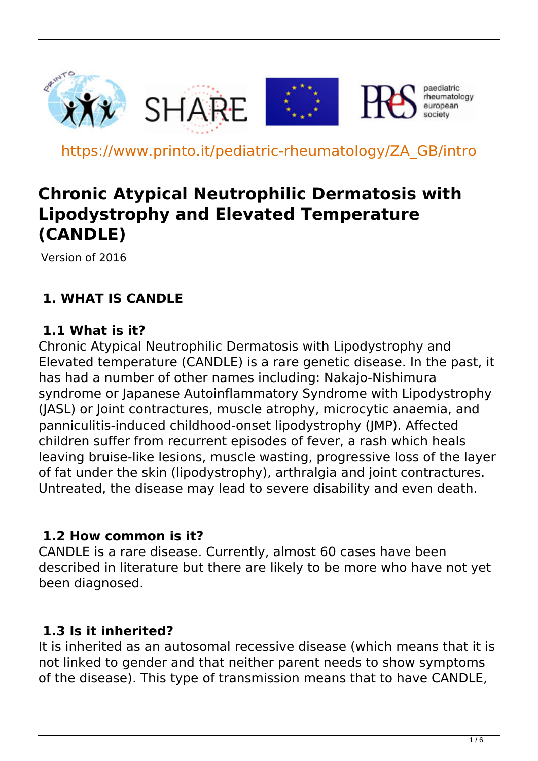

https://www.printo.it/pediatric-rheumatology/ZA\_GB/intro

# **Chronic Atypical Neutrophilic Dermatosis with Lipodystrophy and Elevated Temperature (CANDLE)**

Version of 2016

# **1. WHAT IS CANDLE**

#### **1.1 What is it?**

Chronic Atypical Neutrophilic Dermatosis with Lipodystrophy and Elevated temperature (CANDLE) is a rare genetic disease. In the past, it has had a number of other names including: Nakajo-Nishimura syndrome or Japanese Autoinflammatory Syndrome with Lipodystrophy (JASL) or Joint contractures, muscle atrophy, microcytic anaemia, and panniculitis-induced childhood-onset lipodystrophy (JMP). Affected children suffer from recurrent episodes of fever, a rash which heals leaving bruise-like lesions, muscle wasting, progressive loss of the layer of fat under the skin (lipodystrophy), arthralgia and joint contractures. Untreated, the disease may lead to severe disability and even death.

#### **1.2 How common is it?**

CANDLE is a rare disease. Currently, almost 60 cases have been described in literature but there are likely to be more who have not yet been diagnosed.

#### **1.3 Is it inherited?**

It is inherited as an autosomal recessive disease (which means that it is not linked to gender and that neither parent needs to show symptoms of the disease). This type of transmission means that to have CANDLE,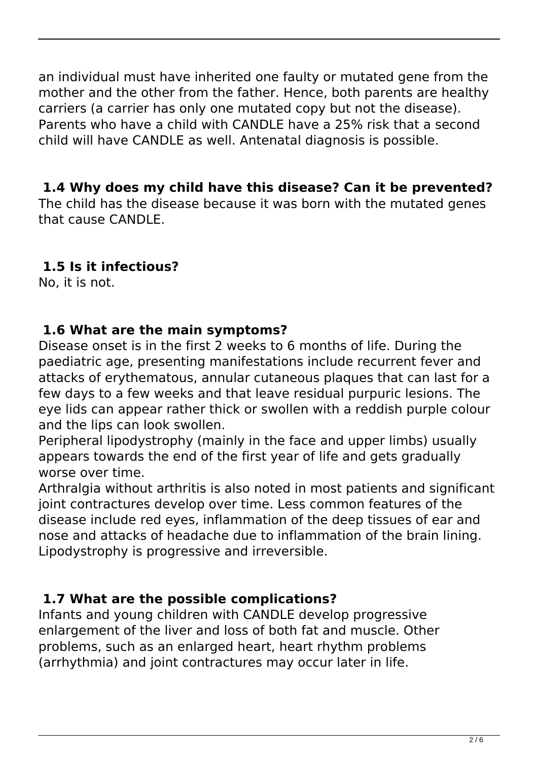an individual must have inherited one faulty or mutated gene from the mother and the other from the father. Hence, both parents are healthy carriers (a carrier has only one mutated copy but not the disease). Parents who have a child with CANDLE have a 25% risk that a second child will have CANDLE as well. Antenatal diagnosis is possible.

### **1.4 Why does my child have this disease? Can it be prevented?**

The child has the disease because it was born with the mutated genes that cause CANDLE.

# **1.5 Is it infectious?**

No, it is not.

### **1.6 What are the main symptoms?**

Disease onset is in the first 2 weeks to 6 months of life. During the paediatric age, presenting manifestations include recurrent fever and attacks of erythematous, annular cutaneous plaques that can last for a few days to a few weeks and that leave residual purpuric lesions. The eye lids can appear rather thick or swollen with a reddish purple colour and the lips can look swollen.

Peripheral lipodystrophy (mainly in the face and upper limbs) usually appears towards the end of the first year of life and gets gradually worse over time.

Arthralgia without arthritis is also noted in most patients and significant joint contractures develop over time. Less common features of the disease include red eyes, inflammation of the deep tissues of ear and nose and attacks of headache due to inflammation of the brain lining. Lipodystrophy is progressive and irreversible.

# **1.7 What are the possible complications?**

Infants and young children with CANDLE develop progressive enlargement of the liver and loss of both fat and muscle. Other problems, such as an enlarged heart, heart rhythm problems (arrhythmia) and joint contractures may occur later in life.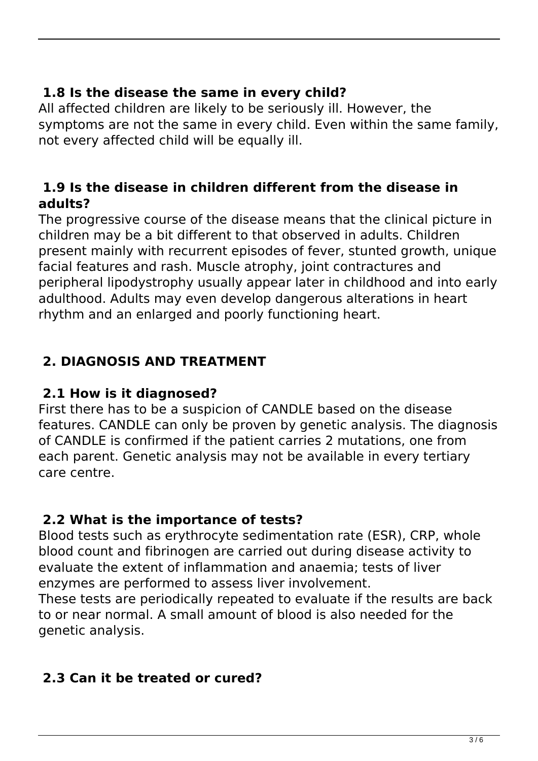### **1.8 Is the disease the same in every child?**

All affected children are likely to be seriously ill. However, the symptoms are not the same in every child. Even within the same family, not every affected child will be equally ill.

#### **1.9 Is the disease in children different from the disease in adults?**

The progressive course of the disease means that the clinical picture in children may be a bit different to that observed in adults. Children present mainly with recurrent episodes of fever, stunted growth, unique facial features and rash. Muscle atrophy, joint contractures and peripheral lipodystrophy usually appear later in childhood and into early adulthood. Adults may even develop dangerous alterations in heart rhythm and an enlarged and poorly functioning heart.

## **2. DIAGNOSIS AND TREATMENT**

#### **2.1 How is it diagnosed?**

First there has to be a suspicion of CANDLE based on the disease features. CANDLE can only be proven by genetic analysis. The diagnosis of CANDLE is confirmed if the patient carries 2 mutations, one from each parent. Genetic analysis may not be available in every tertiary care centre.

#### **2.2 What is the importance of tests?**

Blood tests such as erythrocyte sedimentation rate (ESR), CRP, whole blood count and fibrinogen are carried out during disease activity to evaluate the extent of inflammation and anaemia; tests of liver enzymes are performed to assess liver involvement.

These tests are periodically repeated to evaluate if the results are back to or near normal. A small amount of blood is also needed for the genetic analysis.

### **2.3 Can it be treated or cured?**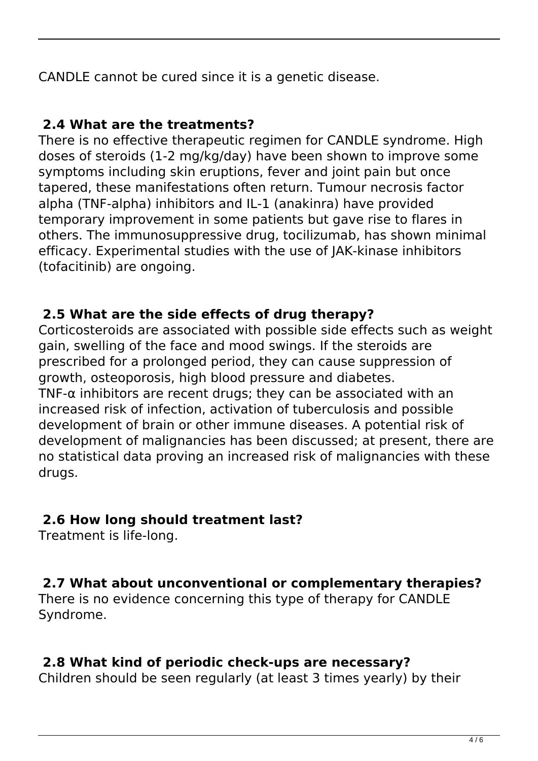CANDLE cannot be cured since it is a genetic disease.

#### **2.4 What are the treatments?**

There is no effective therapeutic regimen for CANDLE syndrome. High doses of steroids (1-2 mg/kg/day) have been shown to improve some symptoms including skin eruptions, fever and joint pain but once tapered, these manifestations often return. Tumour necrosis factor alpha (TNF-alpha) inhibitors and IL-1 (anakinra) have provided temporary improvement in some patients but gave rise to flares in others. The immunosuppressive drug, tocilizumab, has shown minimal efficacy. Experimental studies with the use of JAK-kinase inhibitors (tofacitinib) are ongoing.

#### **2.5 What are the side effects of drug therapy?**

Corticosteroids are associated with possible side effects such as weight gain, swelling of the face and mood swings. If the steroids are prescribed for a prolonged period, they can cause suppression of growth, osteoporosis, high blood pressure and diabetes. TNF- $\alpha$  inhibitors are recent drugs; they can be associated with an increased risk of infection, activation of tuberculosis and possible development of brain or other immune diseases. A potential risk of development of malignancies has been discussed; at present, there are no statistical data proving an increased risk of malignancies with these drugs.

#### **2.6 How long should treatment last?**

Treatment is life-long.

#### **2.7 What about unconventional or complementary therapies?**

There is no evidence concerning this type of therapy for CANDLE Syndrome.

#### **2.8 What kind of periodic check-ups are necessary?**

Children should be seen regularly (at least 3 times yearly) by their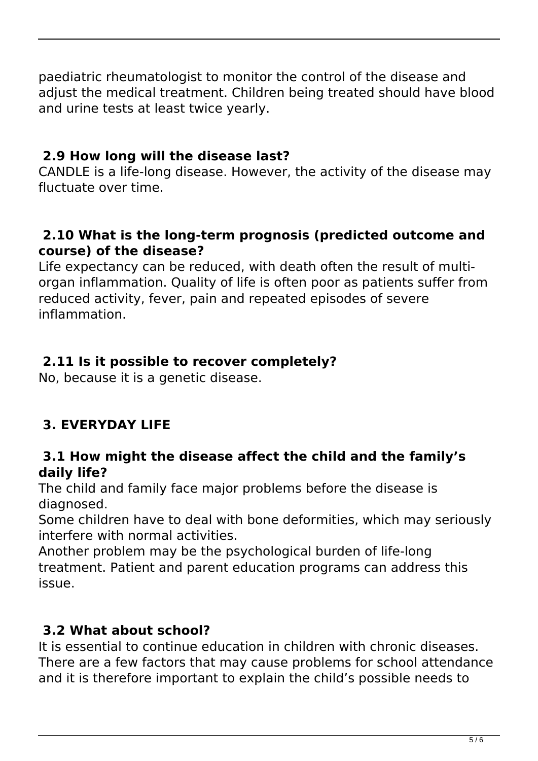paediatric rheumatologist to monitor the control of the disease and adjust the medical treatment. Children being treated should have blood and urine tests at least twice yearly.

## **2.9 How long will the disease last?**

CANDLE is a life-long disease. However, the activity of the disease may fluctuate over time.

#### **2.10 What is the long-term prognosis (predicted outcome and course) of the disease?**

Life expectancy can be reduced, with death often the result of multiorgan inflammation. Quality of life is often poor as patients suffer from reduced activity, fever, pain and repeated episodes of severe inflammation.

## **2.11 Is it possible to recover completely?**

No, because it is a genetic disease.

# **3. EVERYDAY LIFE**

#### **3.1 How might the disease affect the child and the family's daily life?**

The child and family face major problems before the disease is diagnosed.

Some children have to deal with bone deformities, which may seriously interfere with normal activities.

Another problem may be the psychological burden of life-long treatment. Patient and parent education programs can address this issue.

# **3.2 What about school?**

It is essential to continue education in children with chronic diseases. There are a few factors that may cause problems for school attendance and it is therefore important to explain the child's possible needs to